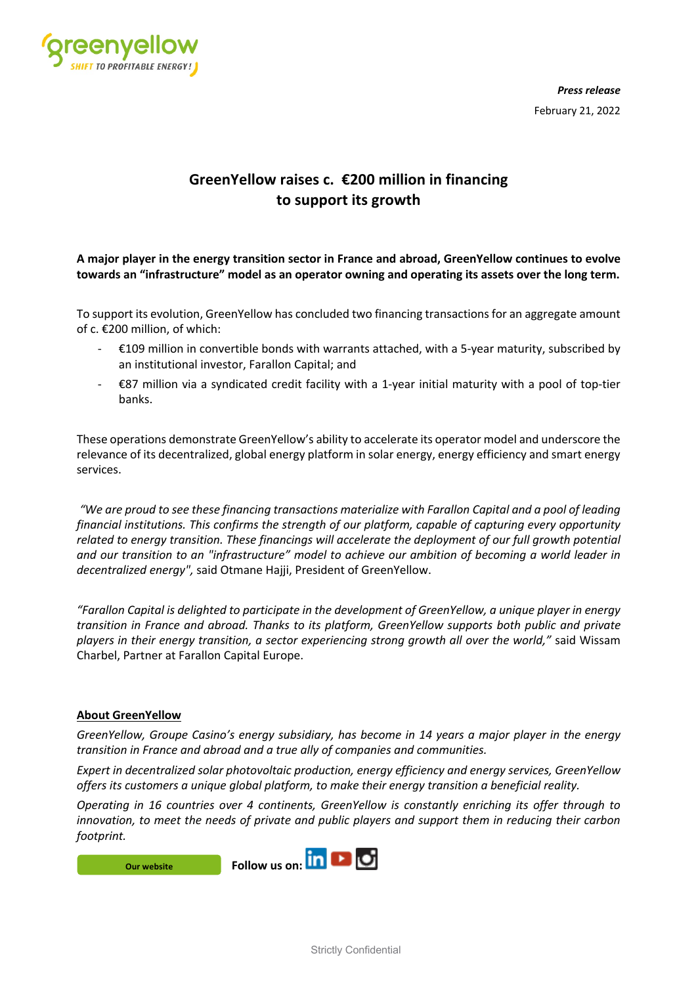

*Press release* February 21, 2022

## **GreenYellow raises c. €200 million in financing to support its growth**

**A major player in the energy transition sector in France and abroad, GreenYellow continues to evolve towards an "infrastructure" model as an operator owning and operating its assets over the long term.** 

To support its evolution, GreenYellow has concluded two financing transactions for an aggregate amount of c. €200 million, of which:

- $€109$  million in convertible bonds with warrants attached, with a 5-year maturity, subscribed by an institutional investor, Farallon Capital; and
- €87 million via a syndicated credit facility with a 1-year initial maturity with a pool of top-tier banks.

These operations demonstrate GreenYellow's ability to accelerate its operator model and underscore the relevance of its decentralized, global energy platform in solar energy, energy efficiency and smart energy services.

*"We are proud to see these financing transactions materialize with Farallon Capital and a pool of leading financial institutions. This confirms the strength of our platform, capable of capturing every opportunity related to energy transition. These financings will accelerate the deployment of our full growth potential and our transition to an "infrastructure" model to achieve our ambition of becoming a world leader in decentralized energy",* said Otmane Hajji, President of GreenYellow.

*"Farallon Capital is delighted to participate in the development of GreenYellow, a unique player in energy transition in France and abroad. Thanks to its platform, GreenYellow supports both public and private players in their energy transition, a sector experiencing strong growth all over the world,"* said Wissam Charbel, Partner at Farallon Capital Europe.

## **About GreenYellow**

*GreenYellow, Groupe Casino's energy subsidiary, has become in 14 years a major player in the energy transition in France and abroad and a true ally of companies and communities.*

*Expert in decentralized solar photovoltaic production, energy efficiency and energy services, GreenYellow offers its customers a unique global platform, to make their energy transition a beneficial reality.*

*Operating in 16 countries over 4 continents, GreenYellow is constantly enriching its offer through to innovation, to meet the needs of private and public players and support them in reducing their carbon footprint.*